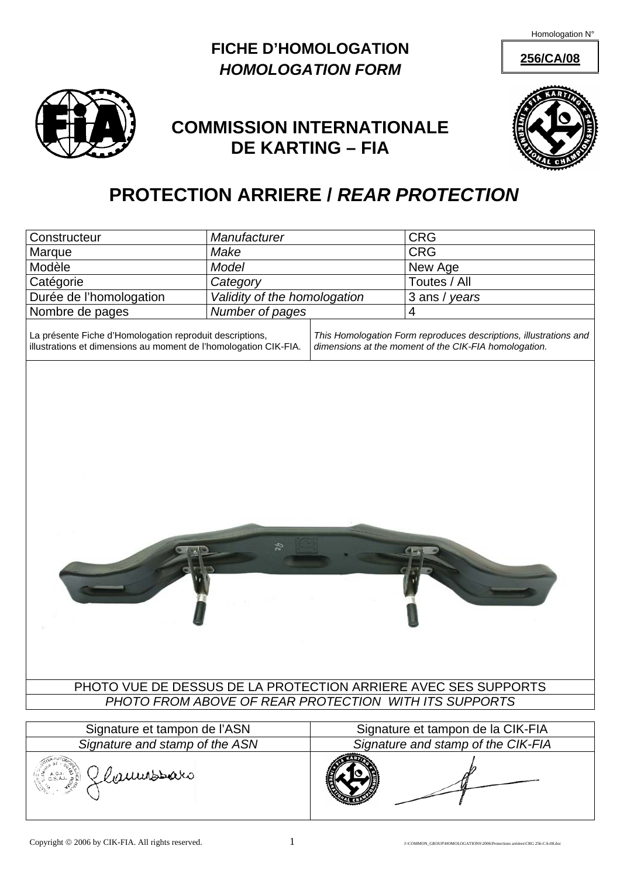### **256/CA/08 FICHE D'HOMOLOGATION**  *HOMOLOGATION FORM*



## **COMMISSION INTERNATIONALE DE KARTING – FIA**



# **PROTECTION ARRIERE /** *REAR PROTECTION*

| Constructeur                                                                                                                                                                                                                                               | Manufacturer                 |  | CRG                                |
|------------------------------------------------------------------------------------------------------------------------------------------------------------------------------------------------------------------------------------------------------------|------------------------------|--|------------------------------------|
| Marque                                                                                                                                                                                                                                                     | Make                         |  | CRG                                |
| Modèle                                                                                                                                                                                                                                                     | Model                        |  | New Age                            |
| Catégorie                                                                                                                                                                                                                                                  | Category                     |  | Toutes / All                       |
| Durée de l'homologation                                                                                                                                                                                                                                    | Validity of the homologation |  | 3 ans / years                      |
| Nombre de pages                                                                                                                                                                                                                                            | Number of pages              |  | 4                                  |
| La présente Fiche d'Homologation reproduit descriptions,<br>This Homologation Form reproduces descriptions, illustrations and<br>illustrations et dimensions au moment de l'homologation CIK-FIA.<br>dimensions at the moment of the CIK-FIA homologation. |                              |  |                                    |
|                                                                                                                                                                                                                                                            |                              |  |                                    |
|                                                                                                                                                                                                                                                            | ęz                           |  |                                    |
| PHOTO VUE DE DESSUS DE LA PROTECTION ARRIERE AVEC SES SUPPORTS                                                                                                                                                                                             |                              |  |                                    |
| PHOTO FROM ABOVE OF REAR PROTECTION WITH ITS SUPPORTS                                                                                                                                                                                                      |                              |  |                                    |
|                                                                                                                                                                                                                                                            |                              |  |                                    |
| Signature et tampon de l'ASN                                                                                                                                                                                                                               |                              |  | Signature et tampon de la CIK-FIA  |
| Signature and stamp of the ASN                                                                                                                                                                                                                             |                              |  | Signature and stamp of the CIK-FIA |
| (son Elaumsbaro                                                                                                                                                                                                                                            |                              |  |                                    |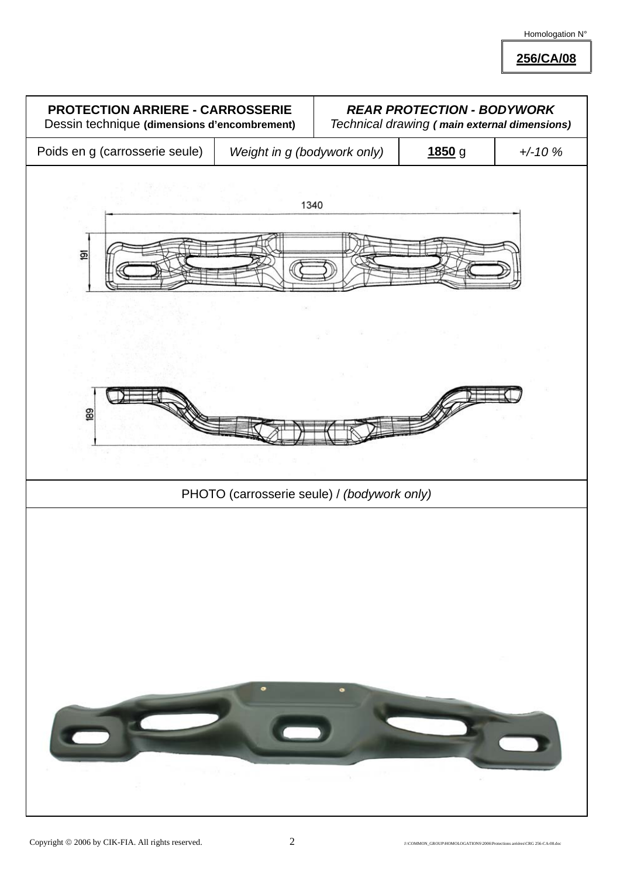**256/CA/08**

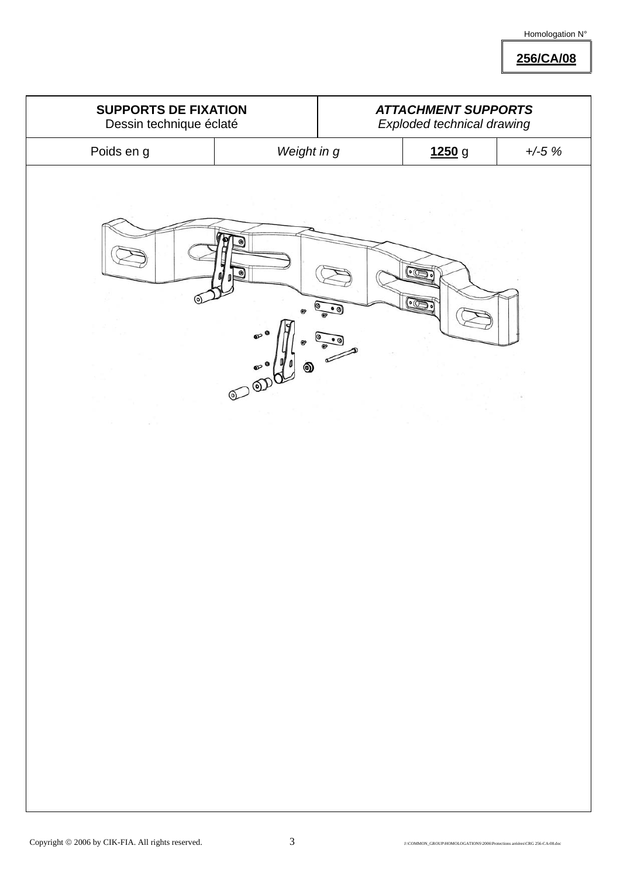**256/CA/08**